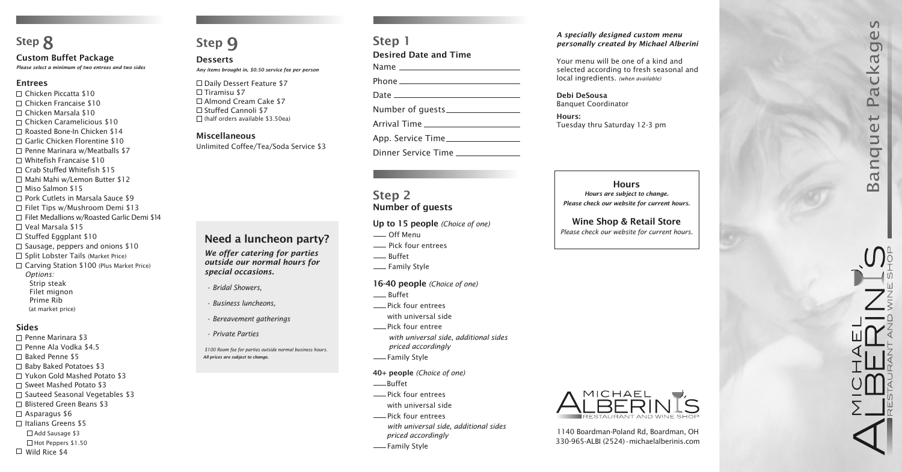*Any items brought in, \$0.50 service fee per person*

 $\square$  Daily Dessert Feature \$7  $\Box$  Tiramisu \$7 □ Almond Cream Cake \$7 □ Stuffed Cannoli \$7  $\Box$  (half orders available \$3.50ea)

# Step 1 Desired Date and Time Name **Dhone**

### Miscellaneous

Unlimited Coffee/Tea/Soda Service \$3

| <u>FIIOILE</u>      |
|---------------------|
|                     |
|                     |
|                     |
|                     |
| App. Service Time   |
|                     |
| Dinner Service Time |

# Step 2 Number of guests

### Up to 15 people *(Choice of one)*

- -Off Menu
- Pick four entrees
- -Buffet
- Family Style

### 16-40 people *(Choice of one)*

- \_\_ Buffet
- **EXECUTE:** Pick four entrees
	- with universal side
- **EXALLE Pick four entree**  *with universal side, additional sides priced accordingly*
- -Family Style
- 40+ people *(Choice of one)*
- -Buffet
- Pick four entrees
	- with universal side
- **EXECUTE:** Pick four entrees *with universal side, additional sides priced accordingly*
- -Family Style

**Hours** *Hours are subject to change. Please check our website for current hours.*

1140 Boardman-Poland Rd, Boardman, OH 330-965-ALBI (2524)•michaelalberinis.com

# Wine Shop & Retail Store

- □ Chicken Piccatta \$10  $\Box$  Chicken Francaise \$10
- Chicken Marsala \$10
- Chicken Caramelicious \$10
- Roasted Bone-In Chicken \$14
- $\Box$  Garlic Chicken Florentine \$10
- $\Box$  Penne Marinara w/Meatballs \$7
- $\Box$  Whitefish Francaise \$10
- □ Crab Stuffed Whitefish \$15
- □ Mahi Mahi w/Lemon Butter \$12
- □ Miso Salmon \$15
- $\Box$  Pork Cutlets in Marsala Sauce \$9
- □ Filet Tips w/Mushroom Demi \$13
- $\Box$  Filet Medallions w/Roasted Garlic Demi \$14
- Veal Marsala \$15
- $\Box$  Stuffed Eggplant \$10
- $\Box$  Sausage, peppers and onions \$10
- $\Box$  Split Lobster Tails (Market Price)
- $\Box$  Carving Station \$100 (Plus Market Price) *Options:*
	- Strip steak
	- Filet mignon Prime Rib
	- (at market price)

*Please check our website for current hours.*



# **8** *Step 9 Step 1 A specially designed custom menu A specially designed custom menu A specially designed custom menu personally created by Michael Alberini*

# Step 9

### **Desserts**

# **Step 8**

### Custom Buffet Package

*Please select a minimum of two entrees and two sides*

### Entrees

### Sides

- □ Penne Marinara \$3
- □ Penne Ala Vodka \$4.5
- □ Baked Penne \$5
- $\Box$  Baby Baked Potatoes \$3
- □ Yukon Gold Mashed Potato \$3
- $\Box$  Sweet Mashed Potato \$3
- $\Box$  Sauteed Seasonal Vegetables \$3
- □ Blistered Green Beans \$3
- $\Box$  Asparagus \$6
- $\Box$  Italians Greens \$5
	- Add Sausage \$3
- □ Hot Peppers \$1.50
- $\Box$  Wild Rice \$4

Your menu will be one of a kind and selected according to fresh seasonal and local ingredients. *(when available)*

Debi DeSousa Banquet Coordinator

Hours: Tuesday thru Saturday 12-3 pm

# Need a luncheon party?

*We offer catering for parties outside our normal hours for special occasions.*

*All prices are subject to change. \$100 Room fee for parties outside normal business hours.*

- *Bridal Showers,*
- *Business luncheons,*
- *Bereavement gatherings*
- *Private Parties*